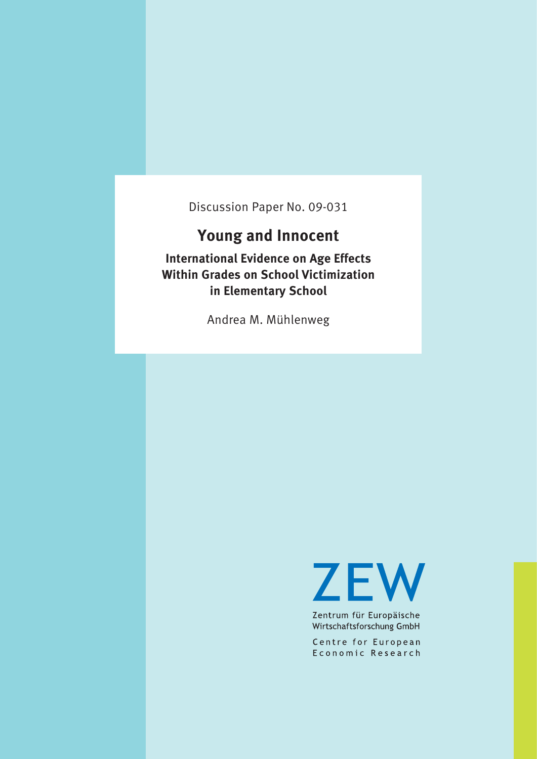Discussion Paper No. 09-031

# **Young and Innocent**

**International Evidence on Age Effects Within Grades on School Victimization in Elementary School**

Andrea M. Mühlenweg

**ZEW** 

Zentrum für Europäische Wirtschaftsforschung GmbH

Centre for European Economic Research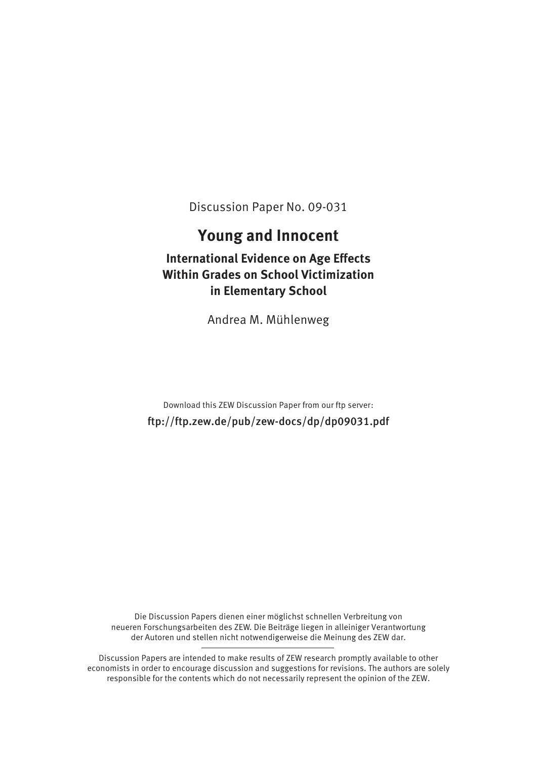Discussion Paper No. 09-031

## **Young and Innocent**

## **International Evidence on Age Effects Within Grades on School Victimization in Elementary School**

Andrea M. Mühlenweg

Download this ZEW Discussion Paper from our ftp server: ftp://ftp.zew.de/pub/zew-docs/dp/dp09031.pdf

Die Discussion Papers dienen einer möglichst schnellen Verbreitung von neueren Forschungsarbeiten des ZEW. Die Beiträge liegen in alleiniger Verantwortung der Autoren und stellen nicht notwendigerweise die Meinung des ZEW dar.

Discussion Papers are intended to make results of ZEW research promptly available to other economists in order to encourage discussion and suggestions for revisions. The authors are solely responsible for the contents which do not necessarily represent the opinion of the ZEW.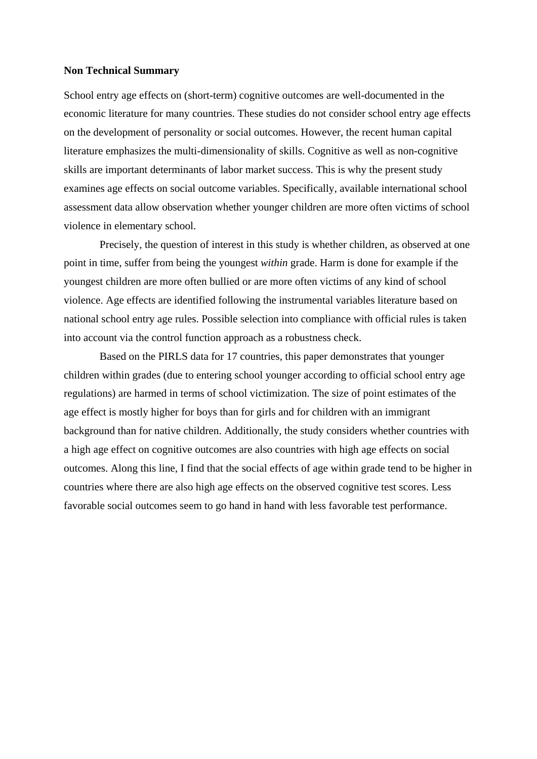#### **Non Technical Summary**

School entry age effects on (short-term) cognitive outcomes are well-documented in the economic literature for many countries. These studies do not consider school entry age effects on the development of personality or social outcomes. However, the recent human capital literature emphasizes the multi-dimensionality of skills. Cognitive as well as non-cognitive skills are important determinants of labor market success. This is why the present study examines age effects on social outcome variables. Specifically, available international school assessment data allow observation whether younger children are more often victims of school violence in elementary school.

Precisely, the question of interest in this study is whether children, as observed at one point in time, suffer from being the youngest *within* grade. Harm is done for example if the youngest children are more often bullied or are more often victims of any kind of school violence. Age effects are identified following the instrumental variables literature based on national school entry age rules. Possible selection into compliance with official rules is taken into account via the control function approach as a robustness check.

Based on the PIRLS data for 17 countries, this paper demonstrates that younger children within grades (due to entering school younger according to official school entry age regulations) are harmed in terms of school victimization. The size of point estimates of the age effect is mostly higher for boys than for girls and for children with an immigrant background than for native children. Additionally, the study considers whether countries with a high age effect on cognitive outcomes are also countries with high age effects on social outcomes. Along this line, I find that the social effects of age within grade tend to be higher in countries where there are also high age effects on the observed cognitive test scores. Less favorable social outcomes seem to go hand in hand with less favorable test performance.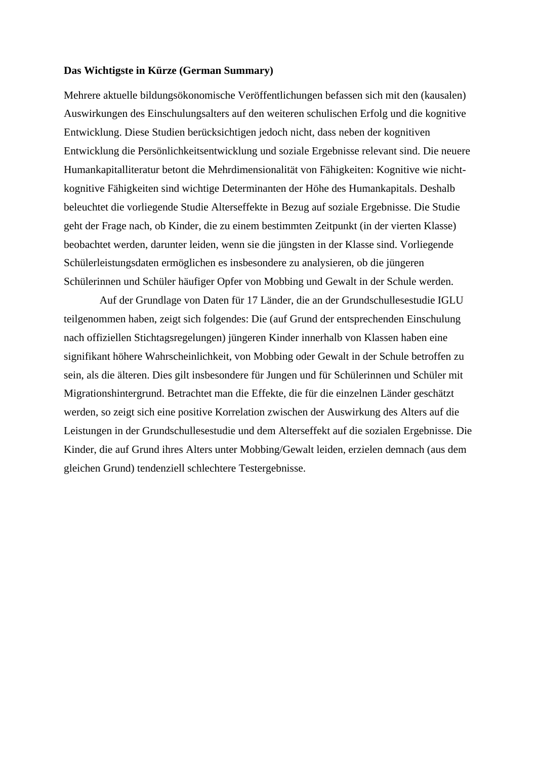#### **Das Wichtigste in Kürze (German Summary)**

Mehrere aktuelle bildungsökonomische Veröffentlichungen befassen sich mit den (kausalen) Auswirkungen des Einschulungsalters auf den weiteren schulischen Erfolg und die kognitive Entwicklung. Diese Studien berücksichtigen jedoch nicht, dass neben der kognitiven Entwicklung die Persönlichkeitsentwicklung und soziale Ergebnisse relevant sind. Die neuere Humankapitalliteratur betont die Mehrdimensionalität von Fähigkeiten: Kognitive wie nichtkognitive Fähigkeiten sind wichtige Determinanten der Höhe des Humankapitals. Deshalb beleuchtet die vorliegende Studie Alterseffekte in Bezug auf soziale Ergebnisse. Die Studie geht der Frage nach, ob Kinder, die zu einem bestimmten Zeitpunkt (in der vierten Klasse) beobachtet werden, darunter leiden, wenn sie die jüngsten in der Klasse sind. Vorliegende Schülerleistungsdaten ermöglichen es insbesondere zu analysieren, ob die jüngeren Schülerinnen und Schüler häufiger Opfer von Mobbing und Gewalt in der Schule werden.

Auf der Grundlage von Daten für 17 Länder, die an der Grundschullesestudie IGLU teilgenommen haben, zeigt sich folgendes: Die (auf Grund der entsprechenden Einschulung nach offiziellen Stichtagsregelungen) jüngeren Kinder innerhalb von Klassen haben eine signifikant höhere Wahrscheinlichkeit, von Mobbing oder Gewalt in der Schule betroffen zu sein, als die älteren. Dies gilt insbesondere für Jungen und für Schülerinnen und Schüler mit Migrationshintergrund. Betrachtet man die Effekte, die für die einzelnen Länder geschätzt werden, so zeigt sich eine positive Korrelation zwischen der Auswirkung des Alters auf die Leistungen in der Grundschullesestudie und dem Alterseffekt auf die sozialen Ergebnisse. Die Kinder, die auf Grund ihres Alters unter Mobbing/Gewalt leiden, erzielen demnach (aus dem gleichen Grund) tendenziell schlechtere Testergebnisse.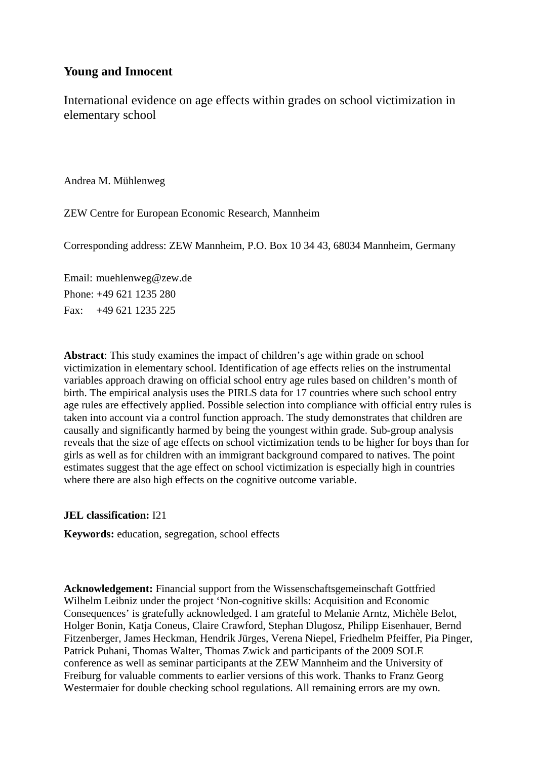## **Young and Innocent**

International evidence on age effects within grades on school victimization in elementary school

Andrea M. Mühlenweg

ZEW Centre for European Economic Research, Mannheim

Corresponding address: ZEW Mannheim, P.O. Box 10 34 43, 68034 Mannheim, Germany

Email: muehlenweg@zew.de Phone: +49 621 1235 280 Fax: +49 621 1235 225

**Abstract**: This study examines the impact of children's age within grade on school victimization in elementary school. Identification of age effects relies on the instrumental variables approach drawing on official school entry age rules based on children's month of birth. The empirical analysis uses the PIRLS data for 17 countries where such school entry age rules are effectively applied. Possible selection into compliance with official entry rules is taken into account via a control function approach. The study demonstrates that children are causally and significantly harmed by being the youngest within grade. Sub-group analysis reveals that the size of age effects on school victimization tends to be higher for boys than for girls as well as for children with an immigrant background compared to natives. The point estimates suggest that the age effect on school victimization is especially high in countries where there are also high effects on the cognitive outcome variable.

### **JEL classification:** I21

**Keywords:** education, segregation, school effects

**Acknowledgement:** Financial support from the Wissenschaftsgemeinschaft Gottfried Wilhelm Leibniz under the project 'Non-cognitive skills: Acquisition and Economic Consequences' is gratefully acknowledged. I am grateful to Melanie Arntz, Michèle Belot, Holger Bonin, Katja Coneus, Claire Crawford, Stephan Dlugosz, Philipp Eisenhauer, Bernd Fitzenberger, James Heckman, Hendrik Jürges, Verena Niepel, Friedhelm Pfeiffer, Pia Pinger, Patrick Puhani, Thomas Walter, Thomas Zwick and participants of the 2009 SOLE conference as well as seminar participants at the ZEW Mannheim and the University of Freiburg for valuable comments to earlier versions of this work. Thanks to Franz Georg Westermaier for double checking school regulations. All remaining errors are my own.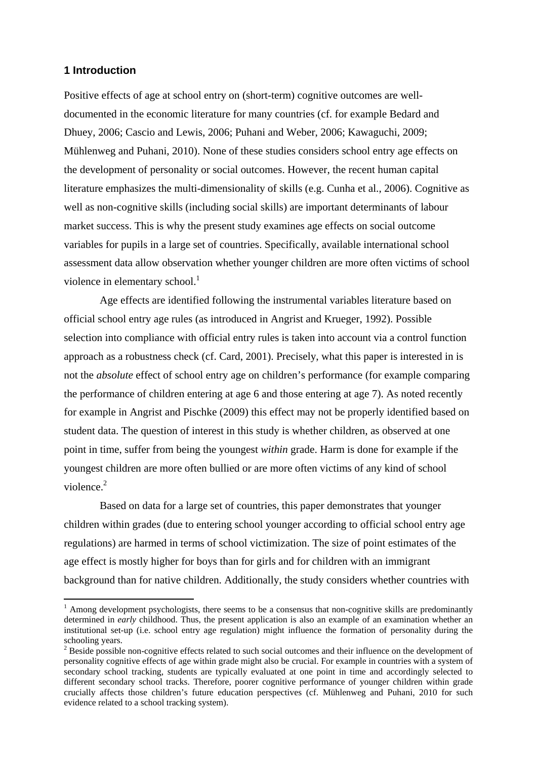#### **1 Introduction**

1

Positive effects of age at school entry on (short-term) cognitive outcomes are welldocumented in the economic literature for many countries (cf. for example Bedard and Dhuey, 2006; Cascio and Lewis, 2006; Puhani and Weber, 2006; Kawaguchi, 2009; Mühlenweg and Puhani, 2010). None of these studies considers school entry age effects on the development of personality or social outcomes. However, the recent human capital literature emphasizes the multi-dimensionality of skills (e.g. Cunha et al., 2006). Cognitive as well as non-cognitive skills (including social skills) are important determinants of labour market success. This is why the present study examines age effects on social outcome variables for pupils in a large set of countries. Specifically, available international school assessment data allow observation whether younger children are more often victims of school violence in elementary school. $<sup>1</sup>$ </sup>

Age effects are identified following the instrumental variables literature based on official school entry age rules (as introduced in Angrist and Krueger, 1992). Possible selection into compliance with official entry rules is taken into account via a control function approach as a robustness check (cf. Card, 2001). Precisely, what this paper is interested in is not the *absolute* effect of school entry age on children's performance (for example comparing the performance of children entering at age 6 and those entering at age 7). As noted recently for example in Angrist and Pischke (2009) this effect may not be properly identified based on student data. The question of interest in this study is whether children, as observed at one point in time, suffer from being the youngest *within* grade. Harm is done for example if the youngest children are more often bullied or are more often victims of any kind of school violence.<sup>2</sup>

Based on data for a large set of countries, this paper demonstrates that younger children within grades (due to entering school younger according to official school entry age regulations) are harmed in terms of school victimization. The size of point estimates of the age effect is mostly higher for boys than for girls and for children with an immigrant background than for native children. Additionally, the study considers whether countries with

<sup>&</sup>lt;sup>1</sup> Among development psychologists, there seems to be a consensus that non-cognitive skills are predominantly determined in *early* childhood. Thus, the present application is also an example of an examination whether an institutional set-up (i.e. school entry age regulation) might influence the formation of personality during the schooling years.

 $2^2$  Beside possible non-cognitive effects related to such social outcomes and their influence on the development of personality cognitive effects of age within grade might also be crucial. For example in countries with a system of secondary school tracking, students are typically evaluated at one point in time and accordingly selected to different secondary school tracks. Therefore, poorer cognitive performance of younger children within grade crucially affects those children's future education perspectives (cf. Mühlenweg and Puhani, 2010 for such evidence related to a school tracking system).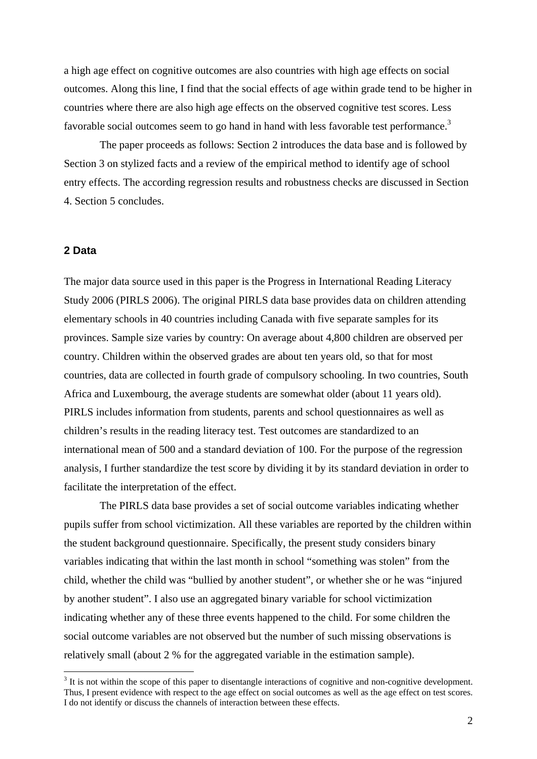a high age effect on cognitive outcomes are also countries with high age effects on social outcomes. Along this line, I find that the social effects of age within grade tend to be higher in countries where there are also high age effects on the observed cognitive test scores. Less favorable social outcomes seem to go hand in hand with less favorable test performance.<sup>3</sup>

The paper proceeds as follows: Section 2 introduces the data base and is followed by Section 3 on stylized facts and a review of the empirical method to identify age of school entry effects. The according regression results and robustness checks are discussed in Section 4. Section 5 concludes.

#### **2 Data**

1

The major data source used in this paper is the Progress in International Reading Literacy Study 2006 (PIRLS 2006). The original PIRLS data base provides data on children attending elementary schools in 40 countries including Canada with five separate samples for its provinces. Sample size varies by country: On average about 4,800 children are observed per country. Children within the observed grades are about ten years old, so that for most countries, data are collected in fourth grade of compulsory schooling. In two countries, South Africa and Luxembourg, the average students are somewhat older (about 11 years old). PIRLS includes information from students, parents and school questionnaires as well as children's results in the reading literacy test. Test outcomes are standardized to an international mean of 500 and a standard deviation of 100. For the purpose of the regression analysis, I further standardize the test score by dividing it by its standard deviation in order to facilitate the interpretation of the effect.

 The PIRLS data base provides a set of social outcome variables indicating whether pupils suffer from school victimization. All these variables are reported by the children within the student background questionnaire. Specifically, the present study considers binary variables indicating that within the last month in school "something was stolen" from the child, whether the child was "bullied by another student", or whether she or he was "injured by another student". I also use an aggregated binary variable for school victimization indicating whether any of these three events happened to the child. For some children the social outcome variables are not observed but the number of such missing observations is relatively small (about 2 % for the aggregated variable in the estimation sample).

 $3$  It is not within the scope of this paper to disentangle interactions of cognitive and non-cognitive development. Thus, I present evidence with respect to the age effect on social outcomes as well as the age effect on test scores. I do not identify or discuss the channels of interaction between these effects.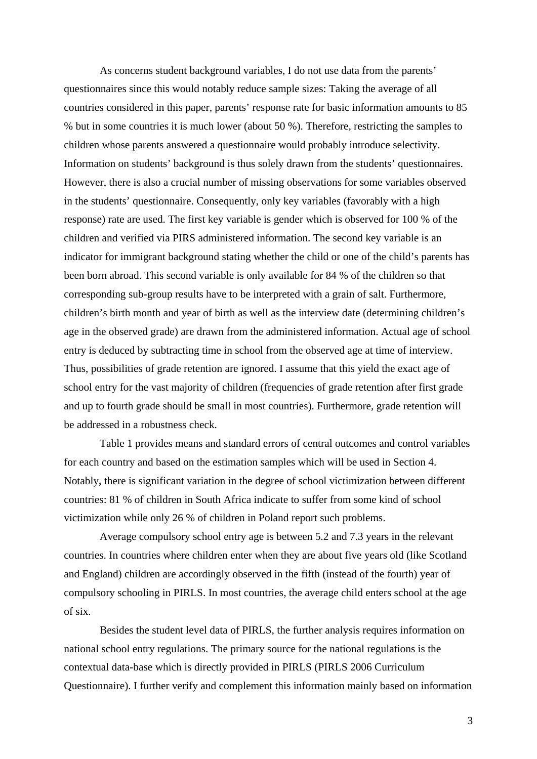As concerns student background variables, I do not use data from the parents' questionnaires since this would notably reduce sample sizes: Taking the average of all countries considered in this paper, parents' response rate for basic information amounts to 85 % but in some countries it is much lower (about 50 %). Therefore, restricting the samples to children whose parents answered a questionnaire would probably introduce selectivity. Information on students' background is thus solely drawn from the students' questionnaires. However, there is also a crucial number of missing observations for some variables observed in the students' questionnaire. Consequently, only key variables (favorably with a high response) rate are used. The first key variable is gender which is observed for 100 % of the children and verified via PIRS administered information. The second key variable is an indicator for immigrant background stating whether the child or one of the child's parents has been born abroad. This second variable is only available for 84 % of the children so that corresponding sub-group results have to be interpreted with a grain of salt. Furthermore, children's birth month and year of birth as well as the interview date (determining children's age in the observed grade) are drawn from the administered information. Actual age of school entry is deduced by subtracting time in school from the observed age at time of interview. Thus, possibilities of grade retention are ignored. I assume that this yield the exact age of school entry for the vast majority of children (frequencies of grade retention after first grade and up to fourth grade should be small in most countries). Furthermore, grade retention will be addressed in a robustness check.

Table 1 provides means and standard errors of central outcomes and control variables for each country and based on the estimation samples which will be used in Section 4. Notably, there is significant variation in the degree of school victimization between different countries: 81 % of children in South Africa indicate to suffer from some kind of school victimization while only 26 % of children in Poland report such problems.

Average compulsory school entry age is between 5.2 and 7.3 years in the relevant countries. In countries where children enter when they are about five years old (like Scotland and England) children are accordingly observed in the fifth (instead of the fourth) year of compulsory schooling in PIRLS. In most countries, the average child enters school at the age of six.

Besides the student level data of PIRLS, the further analysis requires information on national school entry regulations. The primary source for the national regulations is the contextual data-base which is directly provided in PIRLS (PIRLS 2006 Curriculum Questionnaire). I further verify and complement this information mainly based on information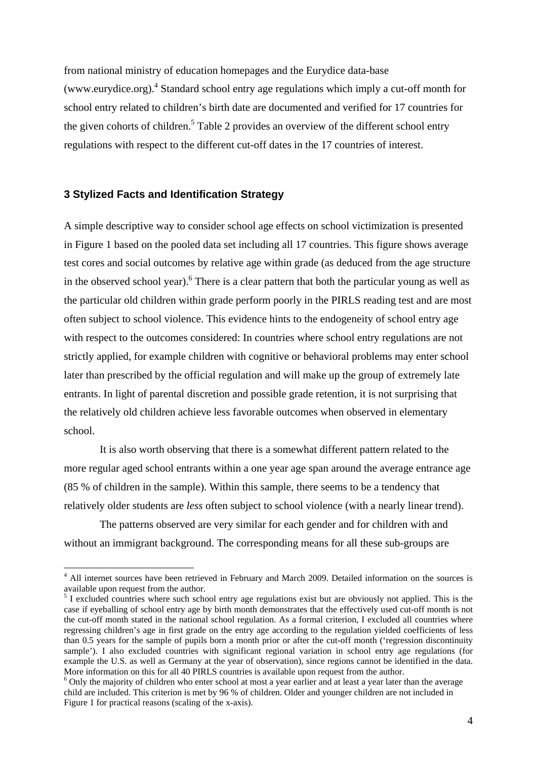from national ministry of education homepages and the Eurydice data-base (www.eurydice.org).4 Standard school entry age regulations which imply a cut-off month for school entry related to children's birth date are documented and verified for 17 countries for the given cohorts of children.<sup>5</sup> Table 2 provides an overview of the different school entry regulations with respect to the different cut-off dates in the 17 countries of interest.

#### **3 Stylized Facts and Identification Strategy**

1

A simple descriptive way to consider school age effects on school victimization is presented in Figure 1 based on the pooled data set including all 17 countries. This figure shows average test cores and social outcomes by relative age within grade (as deduced from the age structure in the observed school year). <sup>6</sup> There is a clear pattern that both the particular young as well as the particular old children within grade perform poorly in the PIRLS reading test and are most often subject to school violence. This evidence hints to the endogeneity of school entry age with respect to the outcomes considered: In countries where school entry regulations are not strictly applied, for example children with cognitive or behavioral problems may enter school later than prescribed by the official regulation and will make up the group of extremely late entrants. In light of parental discretion and possible grade retention, it is not surprising that the relatively old children achieve less favorable outcomes when observed in elementary school.

It is also worth observing that there is a somewhat different pattern related to the more regular aged school entrants within a one year age span around the average entrance age (85 % of children in the sample). Within this sample, there seems to be a tendency that relatively older students are *less* often subject to school violence (with a nearly linear trend).

The patterns observed are very similar for each gender and for children with and without an immigrant background. The corresponding means for all these sub-groups are

<sup>&</sup>lt;sup>4</sup> All internet sources have been retrieved in February and March 2009. Detailed information on the sources is available upon request from the author. 5

 $<sup>5</sup>$  I excluded countries where such school entry age regulations exist but are obviously not applied. This is the</sup> case if eyeballing of school entry age by birth month demonstrates that the effectively used cut-off month is not the cut-off month stated in the national school regulation. As a formal criterion, I excluded all countries where regressing children's age in first grade on the entry age according to the regulation yielded coefficients of less than 0.5 years for the sample of pupils born a month prior or after the cut-off month ('regression discontinuity sample'). I also excluded countries with significant regional variation in school entry age regulations (for example the U.S. as well as Germany at the year of observation), since regions cannot be identified in the data. More information on this for all 40 PIRLS countries is available upon request from the author.

<sup>&</sup>lt;sup>6</sup> Only the majority of children who enter school at most a year earlier and at least a year later than the average child are included. This criterion is met by 96 % of children. Older and younger children are not included in Figure 1 for practical reasons (scaling of the x-axis).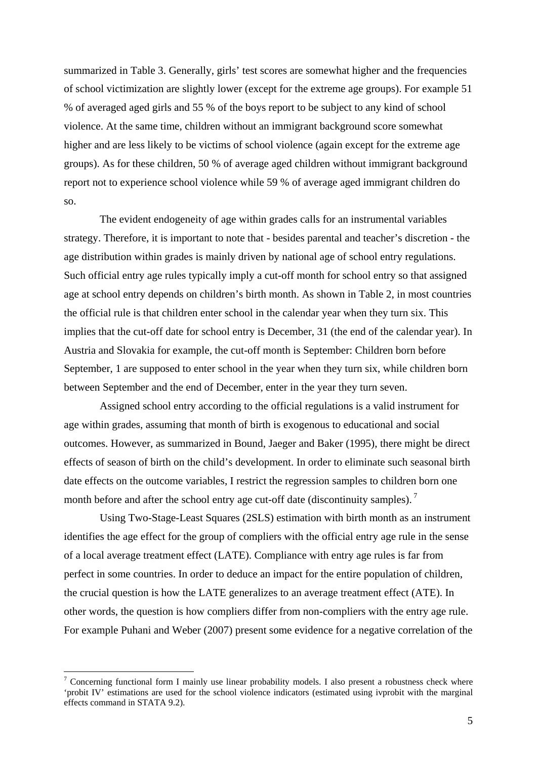summarized in Table 3. Generally, girls' test scores are somewhat higher and the frequencies of school victimization are slightly lower (except for the extreme age groups). For example 51 % of averaged aged girls and 55 % of the boys report to be subject to any kind of school violence. At the same time, children without an immigrant background score somewhat higher and are less likely to be victims of school violence (again except for the extreme age groups). As for these children, 50 % of average aged children without immigrant background report not to experience school violence while 59 % of average aged immigrant children do so.

 The evident endogeneity of age within grades calls for an instrumental variables strategy. Therefore, it is important to note that - besides parental and teacher's discretion - the age distribution within grades is mainly driven by national age of school entry regulations. Such official entry age rules typically imply a cut-off month for school entry so that assigned age at school entry depends on children's birth month. As shown in Table 2, in most countries the official rule is that children enter school in the calendar year when they turn six. This implies that the cut-off date for school entry is December, 31 (the end of the calendar year). In Austria and Slovakia for example, the cut-off month is September: Children born before September, 1 are supposed to enter school in the year when they turn six, while children born between September and the end of December, enter in the year they turn seven.

Assigned school entry according to the official regulations is a valid instrument for age within grades, assuming that month of birth is exogenous to educational and social outcomes. However, as summarized in Bound, Jaeger and Baker (1995), there might be direct effects of season of birth on the child's development. In order to eliminate such seasonal birth date effects on the outcome variables, I restrict the regression samples to children born one month before and after the school entry age cut-off date (discontinuity samples).<sup>7</sup>

Using Two-Stage-Least Squares (2SLS) estimation with birth month as an instrument identifies the age effect for the group of compliers with the official entry age rule in the sense of a local average treatment effect (LATE). Compliance with entry age rules is far from perfect in some countries. In order to deduce an impact for the entire population of children, the crucial question is how the LATE generalizes to an average treatment effect (ATE). In other words, the question is how compliers differ from non-compliers with the entry age rule. For example Puhani and Weber (2007) present some evidence for a negative correlation of the

1

<sup>&</sup>lt;sup>7</sup> Concerning functional form I mainly use linear probability models. I also present a robustness check where 'probit IV' estimations are used for the school violence indicators (estimated using ivprobit with the marginal effects command in STATA 9.2).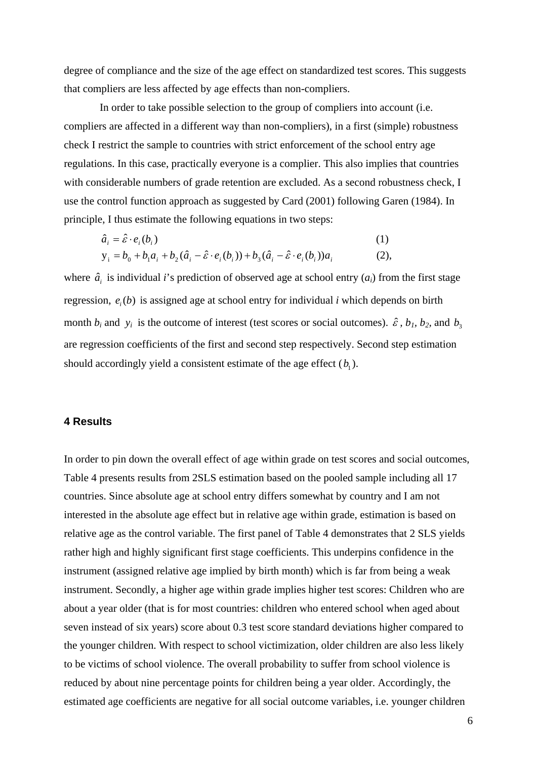degree of compliance and the size of the age effect on standardized test scores. This suggests that compliers are less affected by age effects than non-compliers.

In order to take possible selection to the group of compliers into account (i.e. compliers are affected in a different way than non-compliers), in a first (simple) robustness check I restrict the sample to countries with strict enforcement of the school entry age regulations. In this case, practically everyone is a complier. This also implies that countries with considerable numbers of grade retention are excluded. As a second robustness check, I use the control function approach as suggested by Card (2001) following Garen (1984). In principle, I thus estimate the following equations in two steps:

$$
\hat{a}_i = \hat{\varepsilon} \cdot e_i(b_i)
$$
\n
$$
y_i = b_0 + b_1 a_i + b_2 (\hat{a}_i - \hat{\varepsilon} \cdot e_i(b_i)) + b_3 (\hat{a}_i - \hat{\varepsilon} \cdot e_i(b_i)) a_i
$$
\n(1)

where  $\hat{a}$  is individual *i*'s prediction of observed age at school entry  $(a_i)$  from the first stage regression,  $e_i(b)$  is assigned age at school entry for individual *i* which depends on birth month  $b_i$  and  $y_i$  is the outcome of interest (test scores or social outcomes).  $\hat{\varepsilon}$ ,  $b_1$ ,  $b_2$ , and  $b_3$ are regression coefficients of the first and second step respectively. Second step estimation should accordingly yield a consistent estimate of the age effect  $(b_1)$ .

#### **4 Results**

In order to pin down the overall effect of age within grade on test scores and social outcomes, Table 4 presents results from 2SLS estimation based on the pooled sample including all 17 countries. Since absolute age at school entry differs somewhat by country and I am not interested in the absolute age effect but in relative age within grade, estimation is based on relative age as the control variable. The first panel of Table 4 demonstrates that 2 SLS yields rather high and highly significant first stage coefficients. This underpins confidence in the instrument (assigned relative age implied by birth month) which is far from being a weak instrument. Secondly, a higher age within grade implies higher test scores: Children who are about a year older (that is for most countries: children who entered school when aged about seven instead of six years) score about 0.3 test score standard deviations higher compared to the younger children. With respect to school victimization, older children are also less likely to be victims of school violence. The overall probability to suffer from school violence is reduced by about nine percentage points for children being a year older. Accordingly, the estimated age coefficients are negative for all social outcome variables, i.e. younger children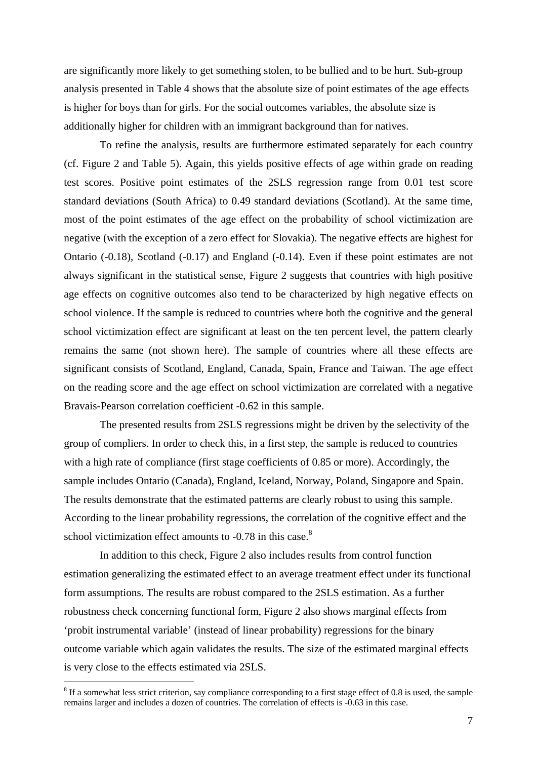are significantly more likely to get something stolen, to be bullied and to be hurt. Sub-group analysis presented in Table 4 shows that the absolute size of point estimates of the age effects is higher for boys than for girls. For the social outcomes variables, the absolute size is additionally higher for children with an immigrant background than for natives.

 To refine the analysis, results are furthermore estimated separately for each country (cf. Figure 2 and Table 5). Again, this yields positive effects of age within grade on reading test scores. Positive point estimates of the 2SLS regression range from 0.01 test score standard deviations (South Africa) to 0.49 standard deviations (Scotland). At the same time, most of the point estimates of the age effect on the probability of school victimization are negative (with the exception of a zero effect for Slovakia). The negative effects are highest for Ontario (-0.18), Scotland (-0.17) and England (-0.14). Even if these point estimates are not always significant in the statistical sense, Figure 2 suggests that countries with high positive age effects on cognitive outcomes also tend to be characterized by high negative effects on school violence. If the sample is reduced to countries where both the cognitive and the general school victimization effect are significant at least on the ten percent level, the pattern clearly remains the same (not shown here). The sample of countries where all these effects are significant consists of Scotland, England, Canada, Spain, France and Taiwan. The age effect on the reading score and the age effect on school victimization are correlated with a negative Bravais-Pearson correlation coefficient -0.62 in this sample.

The presented results from 2SLS regressions might be driven by the selectivity of the group of compliers. In order to check this, in a first step, the sample is reduced to countries with a high rate of compliance (first stage coefficients of 0.85 or more). Accordingly, the sample includes Ontario (Canada), England, Iceland, Norway, Poland, Singapore and Spain. The results demonstrate that the estimated patterns are clearly robust to using this sample. According to the linear probability regressions, the correlation of the cognitive effect and the school victimization effect amounts to  $-0.78$  in this case.<sup>8</sup>

In addition to this check, Figure 2 also includes results from control function estimation generalizing the estimated effect to an average treatment effect under its functional form assumptions. The results are robust compared to the 2SLS estimation. As a further robustness check concerning functional form, Figure 2 also shows marginal effects from 'probit instrumental variable' (instead of linear probability) regressions for the binary outcome variable which again validates the results. The size of the estimated marginal effects is very close to the effects estimated via 2SLS.

1

 $8$  If a somewhat less strict criterion, say compliance corresponding to a first stage effect of 0.8 is used, the sample remains larger and includes a dozen of countries. The correlation of effects is -0.63 in this case.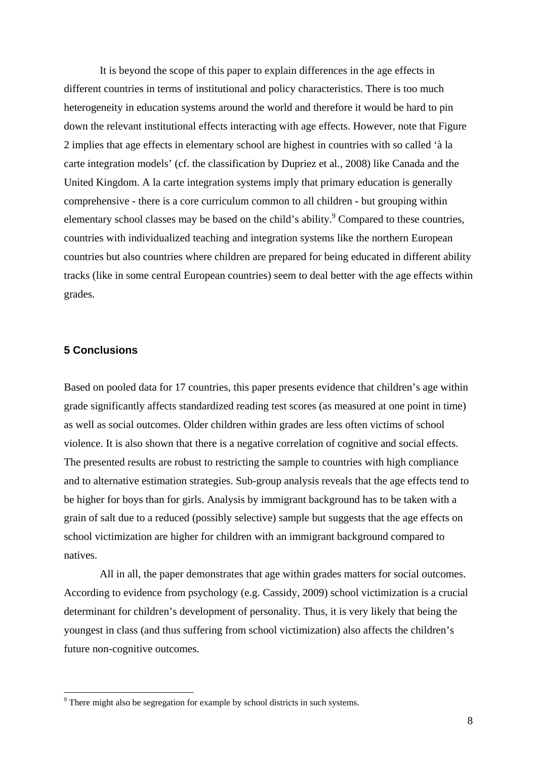It is beyond the scope of this paper to explain differences in the age effects in different countries in terms of institutional and policy characteristics. There is too much heterogeneity in education systems around the world and therefore it would be hard to pin down the relevant institutional effects interacting with age effects. However, note that Figure 2 implies that age effects in elementary school are highest in countries with so called 'à la carte integration models' (cf. the classification by Dupriez et al., 2008) like Canada and the United Kingdom. A la carte integration systems imply that primary education is generally comprehensive - there is a core curriculum common to all children - but grouping within elementary school classes may be based on the child's ability. Compared to these countries, countries with individualized teaching and integration systems like the northern European countries but also countries where children are prepared for being educated in different ability tracks (like in some central European countries) seem to deal better with the age effects within grades.

### **5 Conclusions**

1

Based on pooled data for 17 countries, this paper presents evidence that children's age within grade significantly affects standardized reading test scores (as measured at one point in time) as well as social outcomes. Older children within grades are less often victims of school violence. It is also shown that there is a negative correlation of cognitive and social effects. The presented results are robust to restricting the sample to countries with high compliance and to alternative estimation strategies. Sub-group analysis reveals that the age effects tend to be higher for boys than for girls. Analysis by immigrant background has to be taken with a grain of salt due to a reduced (possibly selective) sample but suggests that the age effects on school victimization are higher for children with an immigrant background compared to natives.

All in all, the paper demonstrates that age within grades matters for social outcomes. According to evidence from psychology (e.g. Cassidy, 2009) school victimization is a crucial determinant for children's development of personality. Thus, it is very likely that being the youngest in class (and thus suffering from school victimization) also affects the children's future non-cognitive outcomes.

<sup>&</sup>lt;sup>9</sup> There might also be segregation for example by school districts in such systems.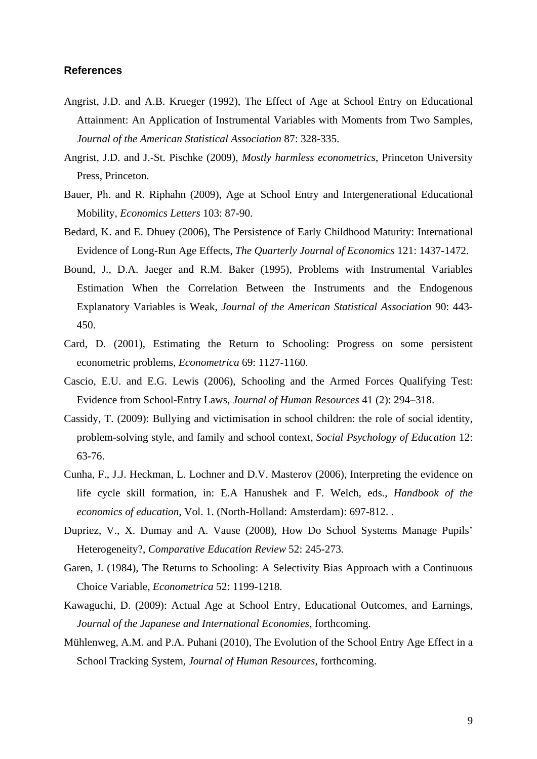#### **References**

- Angrist, J.D. and A.B. Krueger (1992), The Effect of Age at School Entry on Educational Attainment: An Application of Instrumental Variables with Moments from Two Samples, *Journal of the American Statistical Association* 87: 328-335.
- Angrist, J.D. and J.-St. Pischke (2009), *Mostly harmless econometrics*, Princeton University Press, Princeton.
- Bauer, Ph. and R. Riphahn (2009), Age at School Entry and Intergenerational Educational Mobility, *Economics Letters* 103: 87-90.
- Bedard, K. and E. Dhuey (2006), The Persistence of Early Childhood Maturity: International Evidence of Long-Run Age Effects, *The Quarterly Journal of Economics* 121: 1437-1472.
- Bound, J., D.A. Jaeger and R.M. Baker (1995), Problems with Instrumental Variables Estimation When the Correlation Between the Instruments and the Endogenous Explanatory Variables is Weak, *Journal of the American Statistical Association* 90: 443- 450.
- Card, D. (2001), Estimating the Return to Schooling: Progress on some persistent econometric problems, *Econometrica* 69: 1127-1160.
- Cascio, E.U. and E.G. Lewis (2006), Schooling and the Armed Forces Qualifying Test: Evidence from School-Entry Laws, *Journal of Human Resources* 41 (2): 294–318.
- Cassidy, T. (2009): Bullying and victimisation in school children: the role of social identity, problem-solving style, and family and school context, *Social Psychology of Education* 12: 63-76.
- Cunha, F., J.J. Heckman, L. Lochner and D.V. Masterov (2006), Interpreting the evidence on life cycle skill formation, in: E.A Hanushek and F. Welch, eds., *Handbook of the economics of education*, Vol. 1. (North-Holland: Amsterdam): 697-812. .
- Dupriez, V., X. Dumay and A. Vause (2008), How Do School Systems Manage Pupils' Heterogeneity?, *Comparative Education Review* 52: 245-273.
- Garen, J. (1984), The Returns to Schooling: A Selectivity Bias Approach with a Continuous Choice Variable, *Econometrica* 52: 1199-1218.
- Kawaguchi, D. (2009): Actual Age at School Entry, Educational Outcomes, and Earnings, *Journal of the Japanese and International Economies*, forthcoming.
- Mühlenweg, A.M. and P.A. Puhani (2010), The Evolution of the School Entry Age Effect in a School Tracking System, *Journal of Human Resources*, forthcoming.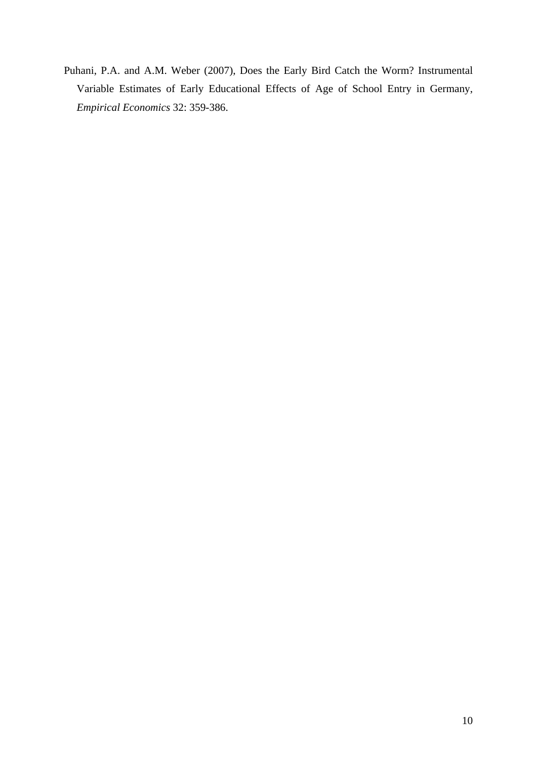Puhani, P.A. and A.M. Weber (2007), Does the Early Bird Catch the Worm? Instrumental Variable Estimates of Early Educational Effects of Age of School Entry in Germany, *Empirical Economics* 32: 359-386.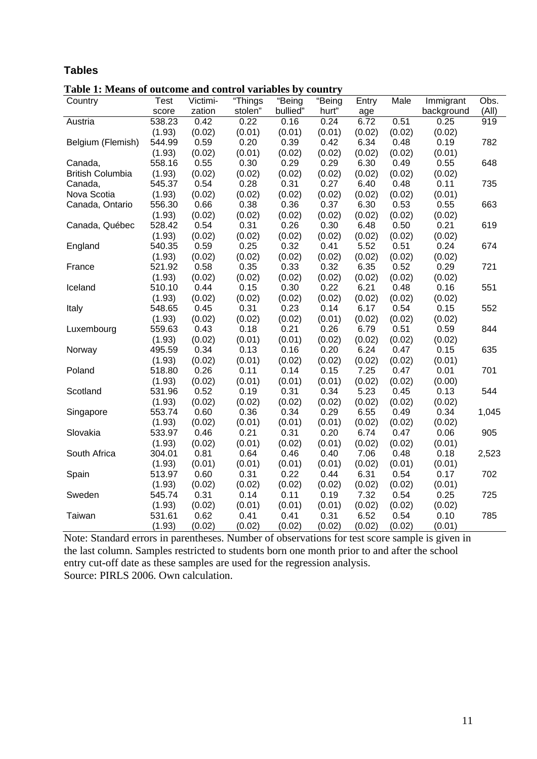## **Tables**

**Table 1: Means of outcome and control variables by country** 

| Table 1. Means of outcome and control variables by country |                  |          |                |                |                |                |                |            |       |
|------------------------------------------------------------|------------------|----------|----------------|----------------|----------------|----------------|----------------|------------|-------|
| Country                                                    | <b>Test</b>      | Victimi- | "Things        | "Being         | "Being         | Entry          | Male           | Immigrant  | Obs.  |
|                                                            | score            | zation   | stolen"        | bullied"       | hurt"          | age            |                | background | (AII) |
| Austria                                                    | 538.23           | 0.42     | 0.22           | 0.16           | 0.24           | 6.72           | 0.51           | 0.25       | 919   |
|                                                            | (1.93)           | (0.02)   | (0.01)         | (0.01)         | (0.01)         | (0.02)         | (0.02)         | (0.02)     |       |
| Belgium (Flemish)                                          | 544.99           | 0.59     | 0.20           | 0.39           | 0.42           | 6.34           | 0.48           | 0.19       | 782   |
|                                                            | (1.93)<br>558.16 | (0.02)   | (0.01)         | (0.02)         | (0.02)         | (0.02)<br>6.30 | (0.02)<br>0.49 | (0.01)     | 648   |
| Canada,<br><b>British Columbia</b>                         |                  | 0.55     | 0.30           | 0.29           | 0.29           |                |                | 0.55       |       |
|                                                            | (1.93)           | (0.02)   | (0.02)         | (0.02)<br>0.31 | (0.02)<br>0.27 | (0.02)         | (0.02)         | (0.02)     | 735   |
| Canada,                                                    | 545.37           | 0.54     | 0.28<br>(0.02) | (0.02)         |                | 6.40           | 0.48           | 0.11       |       |
| Nova Scotia                                                | (1.93)           | (0.02)   |                |                | (0.02)         | (0.02)         | (0.02)         | (0.01)     |       |
| Canada, Ontario                                            | 556.30           | 0.66     | 0.38           | 0.36           | 0.37           | 6.30           | 0.53           | 0.55       | 663   |
|                                                            | (1.93)           | (0.02)   | (0.02)         | (0.02)         | (0.02)         | (0.02)         | (0.02)         | (0.02)     |       |
| Canada, Québec                                             | 528.42           | 0.54     | 0.31           | 0.26           | 0.30           | 6.48           | 0.50           | 0.21       | 619   |
|                                                            | (1.93)           | (0.02)   | (0.02)         | (0.02)         | (0.02)         | (0.02)         | (0.02)         | (0.02)     |       |
| England                                                    | 540.35           | 0.59     | 0.25           | 0.32           | 0.41           | 5.52           | 0.51           | 0.24       | 674   |
|                                                            | (1.93)           | (0.02)   | (0.02)         | (0.02)         | (0.02)         | (0.02)         | (0.02)         | (0.02)     |       |
| France                                                     | 521.92           | 0.58     | 0.35           | 0.33           | 0.32           | 6.35           | 0.52           | 0.29       | 721   |
|                                                            | (1.93)           | (0.02)   | (0.02)         | (0.02)         | (0.02)         | (0.02)         | (0.02)         | (0.02)     |       |
| Iceland                                                    | 510.10           | 0.44     | 0.15           | 0.30           | 0.22           | 6.21           | 0.48           | 0.16       | 551   |
|                                                            | (1.93)           | (0.02)   | (0.02)         | (0.02)         | (0.02)         | (0.02)         | (0.02)         | (0.02)     |       |
| Italy                                                      | 548.65           | 0.45     | 0.31           | 0.23           | 0.14           | 6.17           | 0.54           | 0.15       | 552   |
|                                                            | (1.93)           | (0.02)   | (0.02)         | (0.02)         | (0.01)         | (0.02)         | (0.02)         | (0.02)     |       |
| Luxembourg                                                 | 559.63           | 0.43     | 0.18           | 0.21           | 0.26           | 6.79           | 0.51           | 0.59       | 844   |
|                                                            | (1.93)           | (0.02)   | (0.01)         | (0.01)         | (0.02)         | (0.02)         | (0.02)         | (0.02)     |       |
| Norway                                                     | 495.59           | 0.34     | 0.13           | 0.16           | 0.20           | 6.24           | 0.47           | 0.15       | 635   |
|                                                            | (1.93)           | (0.02)   | (0.01)         | (0.02)         | (0.02)         | (0.02)         | (0.02)         | (0.01)     |       |
| Poland                                                     | 518.80           | 0.26     | 0.11           | 0.14           | 0.15           | 7.25           | 0.47           | 0.01       | 701   |
|                                                            | (1.93)           | (0.02)   | (0.01)         | (0.01)         | (0.01)         | (0.02)         | (0.02)         | (0.00)     |       |
| Scotland                                                   | 531.96           | 0.52     | 0.19           | 0.31           | 0.34           | 5.23           | 0.45           | 0.13       | 544   |
|                                                            | (1.93)           | (0.02)   | (0.02)         | (0.02)         | (0.02)         | (0.02)         | (0.02)         | (0.02)     |       |
| Singapore                                                  | 553.74           | 0.60     | 0.36           | 0.34           | 0.29           | 6.55           | 0.49           | 0.34       | 1,045 |
|                                                            | (1.93)           | (0.02)   | (0.01)         | (0.01)         | (0.01)         | (0.02)         | (0.02)         | (0.02)     |       |
| Slovakia                                                   | 533.97           | 0.46     | 0.21           | 0.31           | 0.20           | 6.74           | 0.47           | 0.06       | 905   |
|                                                            | (1.93)           | (0.02)   | (0.01)         | (0.02)         | (0.01)         | (0.02)         | (0.02)         | (0.01)     |       |
| South Africa                                               | 304.01           | 0.81     | 0.64           | 0.46           | 0.40           | 7.06           | 0.48           | 0.18       | 2,523 |
|                                                            | (1.93)           | (0.01)   | (0.01)         | (0.01)         | (0.01)         | (0.02)         | (0.01)         | (0.01)     |       |
| Spain                                                      | 513.97           | 0.60     | 0.31           | 0.22           | 0.44           | 6.31           | 0.54           | 0.17       | 702   |
|                                                            | (1.93)           | (0.02)   | (0.02)         | (0.02)         | (0.02)         | (0.02)         | (0.02)         | (0.01)     |       |
| Sweden                                                     | 545.74           | 0.31     | 0.14           | 0.11           | 0.19           | 7.32           | 0.54           | 0.25       | 725   |
|                                                            | (1.93)           | (0.02)   | (0.01)         | (0.01)         | (0.01)         | (0.02)         | (0.02)         | (0.02)     |       |
| Taiwan                                                     | 531.61           | 0.62     | 0.41           | 0.41           | 0.31           | 6.52           | 0.54           | 0.10       | 785   |
|                                                            | (1.93)           | (0.02)   | (0.02)         | (0.02)         | (0.02)         | (0.02)         | (0.02)         | (0.01)     |       |

Note: Standard errors in parentheses. Number of observations for test score sample is given in the last column. Samples restricted to students born one month prior to and after the school entry cut-off date as these samples are used for the regression analysis.

Source: PIRLS 2006. Own calculation.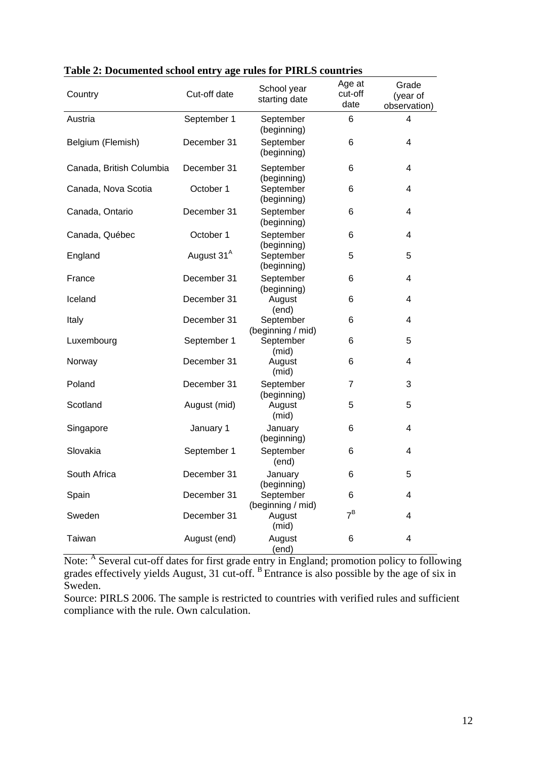| Country                  | Cut-off date           | School year<br>starting date   | Age at<br>cut-off<br>date | Grade<br>(year of<br>observation) |
|--------------------------|------------------------|--------------------------------|---------------------------|-----------------------------------|
| Austria                  | September 1            | September<br>(beginning)       | 6                         | 4                                 |
| Belgium (Flemish)        | December 31            | September<br>(beginning)       | 6                         | 4                                 |
| Canada, British Columbia | December 31            | September<br>(beginning)       | 6                         | 4                                 |
| Canada, Nova Scotia      | October 1              | September<br>(beginning)       | 6                         | 4                                 |
| Canada, Ontario          | December 31            | September<br>(beginning)       | 6                         | 4                                 |
| Canada, Québec           | October 1              | September<br>(beginning)       | 6                         | 4                                 |
| England                  | August 31 <sup>A</sup> | September<br>(beginning)       | 5                         | 5                                 |
| France                   | December 31            | September<br>(beginning)       | 6                         | 4                                 |
| Iceland                  | December 31            | August<br>(end)                | 6                         | 4                                 |
| Italy                    | December 31            | September<br>(beginning / mid) | 6                         | 4                                 |
| Luxembourg               | September 1            | September<br>(mid)             | 6                         | 5                                 |
| Norway                   | December 31            | August<br>(mid)                | 6                         | 4                                 |
| Poland                   | December 31            | September<br>(beginning)       | $\overline{7}$            | 3                                 |
| Scotland                 | August (mid)           | August<br>(mid)                | 5                         | 5                                 |
| Singapore                | January 1              | January<br>(beginning)         | 6                         | 4                                 |
| Slovakia                 | September 1            | September<br>(end)             | 6                         | 4                                 |
| South Africa             | December 31            | January<br>(beginning)         | 6                         | 5                                 |
| Spain                    | December 31            | September<br>(beginning / mid) | 6                         | 4                                 |
| Sweden                   | December 31            | August<br>(mid)                | $7^B$                     | 4                                 |
| Taiwan                   | August (end)           | August<br>(end)                | 6                         | 4                                 |

**Table 2: Documented school entry age rules for PIRLS countries** 

Note: <sup>A</sup> Several cut-off dates for first grade entry in England; promotion policy to following grades effectively yields August, 31 cut-off. <sup>B</sup> Entrance is also possible by the age of six in Sweden.

Source: PIRLS 2006. The sample is restricted to countries with verified rules and sufficient compliance with the rule. Own calculation.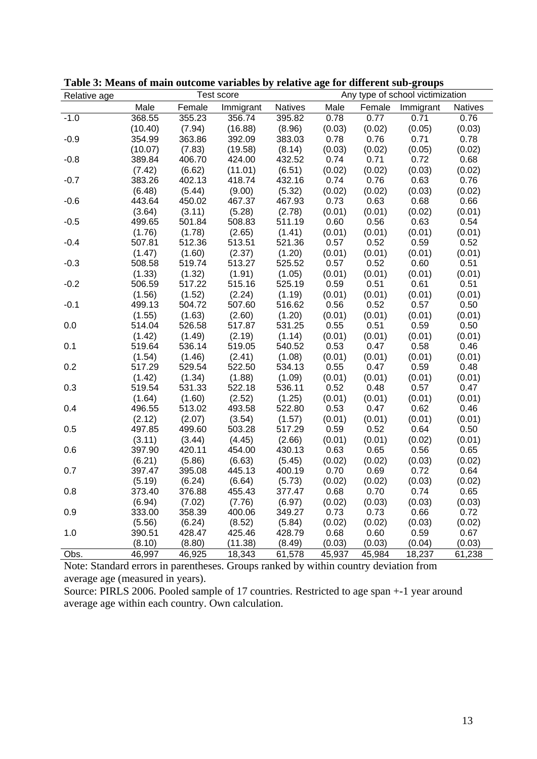| Relative age |         | Test score |           |                | Any type of school victimization |        |           |                |
|--------------|---------|------------|-----------|----------------|----------------------------------|--------|-----------|----------------|
|              | Male    | Female     | Immigrant | <b>Natives</b> | Male                             | Female | Immigrant | <b>Natives</b> |
| $-1.0$       | 368.55  | 355.23     | 356.74    | 395.82         | 0.78                             | 0.77   | 0.71      | 0.76           |
|              | (10.40) | (7.94)     | (16.88)   | (8.96)         | (0.03)                           | (0.02) | (0.05)    | (0.03)         |
| $-0.9$       | 354.99  | 363.86     | 392.09    | 383.03         | 0.78                             | 0.76   | 0.71      | 0.78           |
|              | (10.07) | (7.83)     | (19.58)   | (8.14)         | (0.03)                           | (0.02) | (0.05)    | (0.02)         |
| $-0.8$       | 389.84  | 406.70     | 424.00    | 432.52         | 0.74                             | 0.71   | 0.72      | 0.68           |
|              | (7.42)  | (6.62)     | (11.01)   | (6.51)         | (0.02)                           | (0.02) | (0.03)    | (0.02)         |
| $-0.7$       | 383.26  | 402.13     | 418.74    | 432.16         | 0.74                             | 0.76   | 0.63      | 0.76           |
|              | (6.48)  | (5.44)     | (9.00)    | (5.32)         | (0.02)                           | (0.02) | (0.03)    | (0.02)         |
| $-0.6$       | 443.64  | 450.02     | 467.37    | 467.93         | 0.73                             | 0.63   | 0.68      | 0.66           |
|              | (3.64)  | (3.11)     | (5.28)    | (2.78)         | (0.01)                           | (0.01) | (0.02)    | (0.01)         |
| $-0.5$       | 499.65  | 501.84     | 508.83    | 511.19         | 0.60                             | 0.56   | 0.63      | 0.54           |
|              | (1.76)  | (1.78)     | (2.65)    | (1.41)         | (0.01)                           | (0.01) | (0.01)    | (0.01)         |
| $-0.4$       | 507.81  | 512.36     | 513.51    | 521.36         | 0.57                             | 0.52   | 0.59      | 0.52           |
|              | (1.47)  | (1.60)     | (2.37)    | (1.20)         | (0.01)                           | (0.01) | (0.01)    | (0.01)         |
| $-0.3$       | 508.58  | 519.74     | 513.27    | 525.52         | 0.57                             | 0.52   | 0.60      | 0.51           |
|              | (1.33)  | (1.32)     | (1.91)    | (1.05)         | (0.01)                           | (0.01) | (0.01)    | (0.01)         |
| $-0.2$       | 506.59  | 517.22     | 515.16    | 525.19         | 0.59                             | 0.51   | 0.61      | 0.51           |
|              | (1.56)  | (1.52)     | (2.24)    | (1.19)         | (0.01)                           | (0.01) | (0.01)    | (0.01)         |
| $-0.1$       | 499.13  | 504.72     | 507.60    | 516.62         | 0.56                             | 0.52   | 0.57      | 0.50           |
|              | (1.55)  | (1.63)     | (2.60)    | (1.20)         | (0.01)                           | (0.01) | (0.01)    | (0.01)         |
| 0.0          | 514.04  | 526.58     | 517.87    | 531.25         | 0.55                             | 0.51   | 0.59      | 0.50           |
|              | (1.42)  | (1.49)     | (2.19)    | (1.14)         | (0.01)                           | (0.01) | (0.01)    | (0.01)         |
| 0.1          | 519.64  | 536.14     | 519.05    | 540.52         | 0.53                             | 0.47   | 0.58      | 0.46           |
|              | (1.54)  | (1.46)     | (2.41)    | (1.08)         | (0.01)                           | (0.01) | (0.01)    | (0.01)         |
| 0.2          | 517.29  | 529.54     | 522.50    | 534.13         | 0.55                             | 0.47   | 0.59      | 0.48           |
|              | (1.42)  | (1.34)     | (1.88)    | (1.09)         | (0.01)                           | (0.01) | (0.01)    | (0.01)         |
| 0.3          | 519.54  | 531.33     | 522.18    | 536.11         | 0.52                             | 0.48   | 0.57      | 0.47           |
|              | (1.64)  | (1.60)     | (2.52)    | (1.25)         | (0.01)                           | (0.01) | (0.01)    | (0.01)         |
| 0.4          | 496.55  | 513.02     | 493.58    | 522.80         | 0.53                             | 0.47   | 0.62      | 0.46           |
|              | (2.12)  | (2.07)     | (3.54)    | (1.57)         | (0.01)                           | (0.01) | (0.01)    | (0.01)         |
| 0.5          | 497.85  | 499.60     | 503.28    | 517.29         | 0.59                             | 0.52   | 0.64      | 0.50           |
|              | (3.11)  | (3.44)     | (4.45)    | (2.66)         | (0.01)                           | (0.01) | (0.02)    | (0.01)         |
| 0.6          | 397.90  | 420.11     | 454.00    | 430.13         | 0.63                             | 0.65   | 0.56      | 0.65           |
|              | (6.21)  | (5.86)     | (6.63)    | (5.45)         | (0.02)                           | (0.02) | (0.03)    | (0.02)         |
| 0.7          | 397.47  | 395.08     | 445.13    | 400.19         | 0.70                             | 0.69   | 0.72      | 0.64           |
|              | (5.19)  | (6.24)     | (6.64)    | (5.73)         | (0.02)                           | (0.02) | (0.03)    | (0.02)         |
| 0.8          | 373.40  | 376.88     | 455.43    | 377.47         | 0.68                             | 0.70   | 0.74      | 0.65           |
|              | (6.94)  | (7.02)     | (7.76)    | (6.97)         | (0.02)                           | (0.03) | (0.03)    | (0.03)         |
| 0.9          | 333.00  | 358.39     | 400.06    | 349.27         | 0.73                             | 0.73   | 0.66      | 0.72           |
|              | (5.56)  | (6.24)     | (8.52)    | (5.84)         | (0.02)                           | (0.02) | (0.03)    | (0.02)         |
| 1.0          | 390.51  | 428.47     | 425.46    | 428.79         | 0.68                             | 0.60   | 0.59      | 0.67           |
|              | (8.10)  | (8.80)     | (11.38)   | (8.49)         | (0.03)                           | (0.03) | (0.04)    | (0.03)         |
| Obs.         | 46,997  | 46,925     | 18,343    | 61,578         | 45,937                           | 45,984 | 18,237    | 61,238         |

**Table 3: Means of main outcome variables by relative age for different sub-groups** 

Note: Standard errors in parentheses. Groups ranked by within country deviation from average age (measured in years).

Source: PIRLS 2006. Pooled sample of 17 countries. Restricted to age span +-1 year around average age within each country. Own calculation.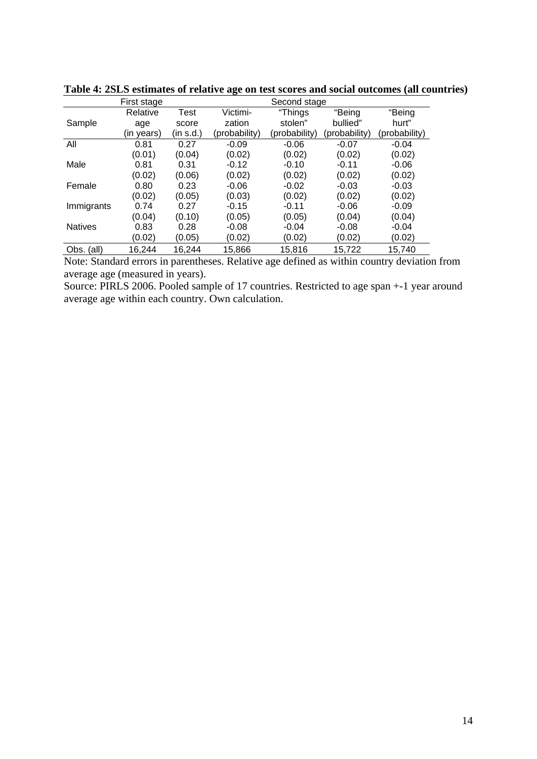|                | First stage |           |               |               |               |               |
|----------------|-------------|-----------|---------------|---------------|---------------|---------------|
|                | Relative    | Test      | Victimi-      | "Things       | "Being        | "Being        |
| Sample         | age         | score     | zation        | stolen"       | bullied"      | hurt"         |
|                | (in years)  | (in s.d.) | (probability) | (probability) | (probability) | (probability) |
| All            | 0.81        | 0.27      | $-0.09$       | $-0.06$       | $-0.07$       | $-0.04$       |
|                | (0.01)      | (0.04)    | (0.02)        | (0.02)        | (0.02)        | (0.02)        |
| Male           | 0.81        | 0.31      | $-0.12$       | $-0.10$       | $-0.11$       | $-0.06$       |
|                | (0.02)      | (0.06)    | (0.02)        | (0.02)        | (0.02)        | (0.02)        |
| Female         | 0.80        | 0.23      | $-0.06$       | $-0.02$       | $-0.03$       | $-0.03$       |
|                | (0.02)      | (0.05)    | (0.03)        | (0.02)        | (0.02)        | (0.02)        |
| Immigrants     | 0.74        | 0.27      | $-0.15$       | $-0.11$       | $-0.06$       | $-0.09$       |
|                | (0.04)      | (0.10)    | (0.05)        | (0.05)        | (0.04)        | (0.04)        |
| <b>Natives</b> | 0.83        | 0.28      | $-0.08$       | $-0.04$       | $-0.08$       | $-0.04$       |
|                | (0.02)      | (0.05)    | (0.02)        | (0.02)        | (0.02)        | (0.02)        |
| Obs. (all)     | 16,244      | 16,244    | 15,866        | 15,816        | 15,722        | 15,740        |

**Table 4: 2SLS estimates of relative age on test scores and social outcomes (all countries)** 

Note: Standard errors in parentheses. Relative age defined as within country deviation from average age (measured in years).

Source: PIRLS 2006. Pooled sample of 17 countries. Restricted to age span +-1 year around average age within each country. Own calculation.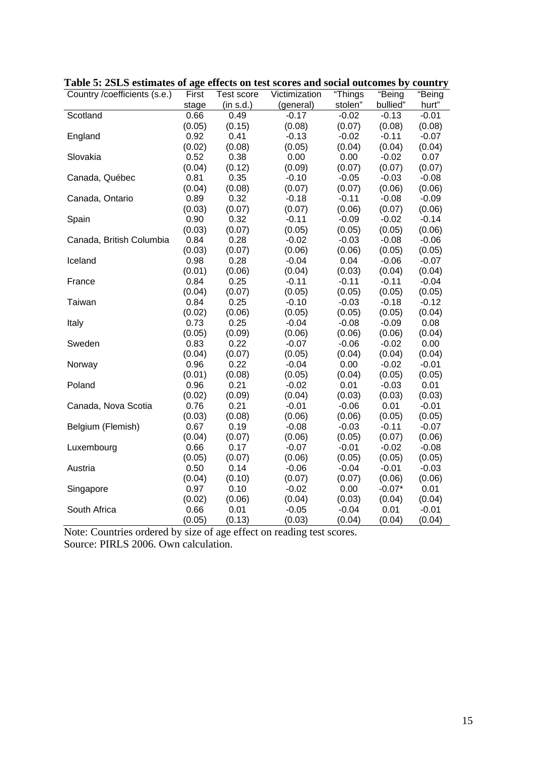| Country /coefficients (s.e.) | First  | <b>Test score</b> | Victimization | "Things | "Being   | "Being  |
|------------------------------|--------|-------------------|---------------|---------|----------|---------|
|                              | stage  | (in s.d.)         | (general)     | stolen" | bullied" | hurt"   |
| Scotland                     | 0.66   | 0.49              | $-0.17$       | $-0.02$ | $-0.13$  | $-0.01$ |
|                              | (0.05) | (0.15)            | (0.08)        | (0.07)  | (0.08)   | (0.08)  |
| England                      | 0.92   | 0.41              | $-0.13$       | $-0.02$ | $-0.11$  | $-0.07$ |
|                              | (0.02) | (0.08)            | (0.05)        | (0.04)  | (0.04)   | (0.04)  |
| Slovakia                     | 0.52   | 0.38              | 0.00          | 0.00    | $-0.02$  | 0.07    |
|                              | (0.04) | (0.12)            | (0.09)        | (0.07)  | (0.07)   | (0.07)  |
| Canada, Québec               | 0.81   | 0.35              | $-0.10$       | $-0.05$ | $-0.03$  | $-0.08$ |
|                              | (0.04) | (0.08)            | (0.07)        | (0.07)  | (0.06)   | (0.06)  |
| Canada, Ontario              | 0.89   | 0.32              | $-0.18$       | $-0.11$ | $-0.08$  | $-0.09$ |
|                              | (0.03) | (0.07)            | (0.07)        | (0.06)  | (0.07)   | (0.06)  |
| Spain                        | 0.90   | 0.32              | $-0.11$       | $-0.09$ | $-0.02$  | $-0.14$ |
|                              | (0.03) | (0.07)            | (0.05)        | (0.05)  | (0.05)   | (0.06)  |
| Canada, British Columbia     | 0.84   | 0.28              | $-0.02$       | $-0.03$ | $-0.08$  | $-0.06$ |
|                              | (0.03) | (0.07)            | (0.06)        | (0.06)  | (0.05)   | (0.05)  |
| Iceland                      | 0.98   | 0.28              | $-0.04$       | 0.04    | $-0.06$  | $-0.07$ |
|                              | (0.01) | (0.06)            | (0.04)        | (0.03)  | (0.04)   | (0.04)  |
| France                       | 0.84   | 0.25              | $-0.11$       | $-0.11$ | $-0.11$  | $-0.04$ |
|                              | (0.04) | (0.07)            | (0.05)        | (0.05)  | (0.05)   | (0.05)  |
| Taiwan                       | 0.84   | 0.25              | $-0.10$       | $-0.03$ | $-0.18$  | $-0.12$ |
|                              | (0.02) | (0.06)            | (0.05)        | (0.05)  | (0.05)   | (0.04)  |
| Italy                        | 0.73   | 0.25              | $-0.04$       | $-0.08$ | $-0.09$  | 0.08    |
|                              | (0.05) | (0.09)            | (0.06)        | (0.06)  | (0.06)   | (0.04)  |
| Sweden                       | 0.83   | 0.22              | $-0.07$       | $-0.06$ | $-0.02$  | 0.00    |
|                              | (0.04) | (0.07)            | (0.05)        | (0.04)  | (0.04)   | (0.04)  |
| Norway                       | 0.96   | 0.22              | $-0.04$       | 0.00    | $-0.02$  | $-0.01$ |
|                              | (0.01) | (0.08)            | (0.05)        | (0.04)  | (0.05)   | (0.05)  |
| Poland                       | 0.96   | 0.21              | $-0.02$       | 0.01    | $-0.03$  | 0.01    |
|                              | (0.02) | (0.09)            | (0.04)        | (0.03)  | (0.03)   | (0.03)  |
| Canada, Nova Scotia          | 0.76   | 0.21              | $-0.01$       | $-0.06$ | 0.01     | $-0.01$ |
|                              | (0.03) | (0.08)            | (0.06)        | (0.06)  | (0.05)   | (0.05)  |
| Belgium (Flemish)            | 0.67   | 0.19              | $-0.08$       | $-0.03$ | $-0.11$  | $-0.07$ |
|                              | (0.04) | (0.07)            | (0.06)        | (0.05)  | (0.07)   | (0.06)  |
| Luxembourg                   | 0.66   | 0.17              | $-0.07$       | $-0.01$ | $-0.02$  | $-0.08$ |
|                              | (0.05) | (0.07)            | (0.06)        | (0.05)  | (0.05)   | (0.05)  |
| Austria                      | 0.50   | 0.14              | $-0.06$       | $-0.04$ | $-0.01$  | $-0.03$ |
|                              | (0.04) | (0.10)            | (0.07)        | (0.07)  | (0.06)   | (0.06)  |
| Singapore                    | 0.97   | 0.10              | $-0.02$       | 0.00    | $-0.07*$ | 0.01    |
|                              | (0.02) | (0.06)            | (0.04)        | (0.03)  | (0.04)   | (0.04)  |
| South Africa                 | 0.66   | 0.01              | $-0.05$       | $-0.04$ | 0.01     | $-0.01$ |
|                              | (0.05) | (0.13)            | (0.03)        | (0.04)  | (0.04)   | (0.04)  |

**Table 5: 2SLS estimates of age effects on test scores and social outcomes by country** 

Note: Countries ordered by size of age effect on reading test scores. Source: PIRLS 2006. Own calculation.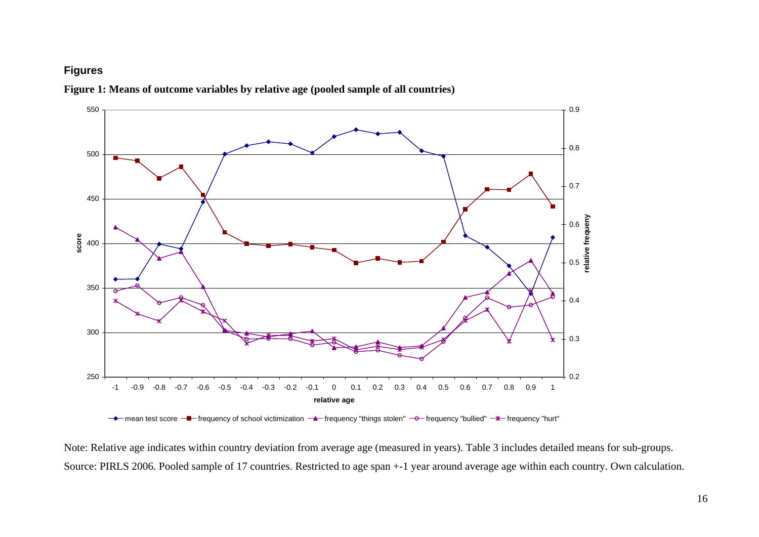## **Figures**





mean test score  $-\blacksquare$  frequency of school victimization  $-\blacktriangle$  frequency "things stolen"  $\neg$  frequency "bullied"  $-\divideontimes$  frequency "hurt"

Note: Relative age indicates within country deviation from average age (measured in years). Table 3 includes detailed means for sub-groups. Source: PIRLS 2006. Pooled sample of 17 countries. Restricted to age span +-1 year around average age within each country. Own calculation.